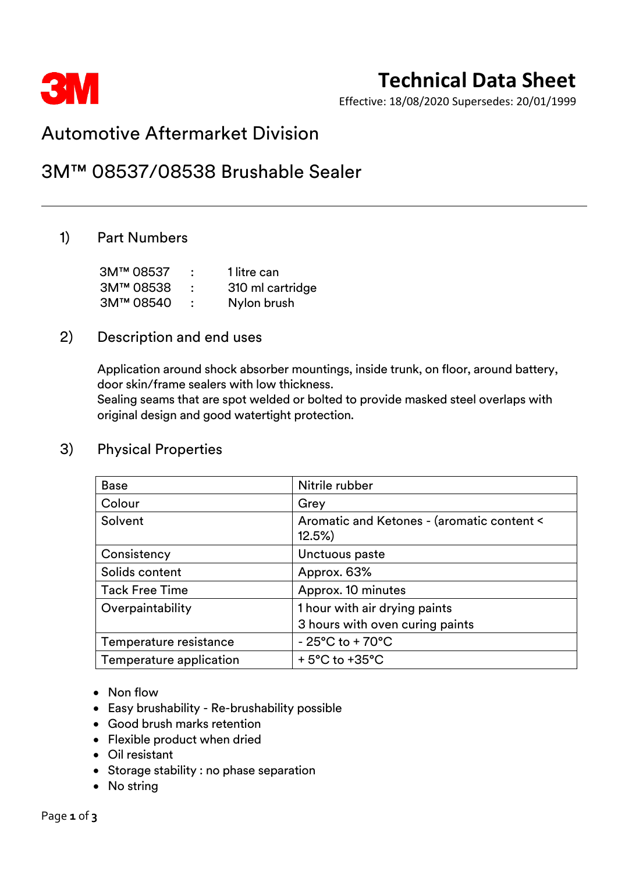

# **Technical Data Sheet**

Effective: 18/08/2020 Supersedes: 20/01/1999

# Automotive Aftermarket Division

# 3M™ 08537/08538 Brushable Sealer

## 1) Part Numbers

| 3M™ 08537 | 1 litre can      |
|-----------|------------------|
| 3M™ 08538 | 310 ml cartridge |
| 3M™ 08540 | Nylon brush      |

### 2) Description and end uses

Application around shock absorber mountings, inside trunk, on floor, around battery, door skin/frame sealers with low thickness.

Sealing seams that are spot welded or bolted to provide masked steel overlaps with original design and good watertight protection.

| <b>Base</b>             | Nitrile rubber                                      |  |
|-------------------------|-----------------------------------------------------|--|
| Colour                  | Grey                                                |  |
| Solvent                 | Aromatic and Ketones - (aromatic content <<br>12.5% |  |
| Consistency             | Unctuous paste                                      |  |
| Solids content          | Approx. 63%                                         |  |
| <b>Tack Free Time</b>   | Approx. 10 minutes                                  |  |
| Overpaintability        | 1 hour with air drying paints                       |  |
|                         | 3 hours with oven curing paints                     |  |
| Temperature resistance  | $-25^{\circ}$ C to +70 $^{\circ}$ C                 |  |
| Temperature application | $+5^{\circ}$ C to $+35^{\circ}$ C                   |  |

### 3) Physical Properties

- Non flow
- Easy brushability Re-brushability possible
- Good brush marks retention
- Flexible product when dried
- Oil resistant
- Storage stability : no phase separation
- No string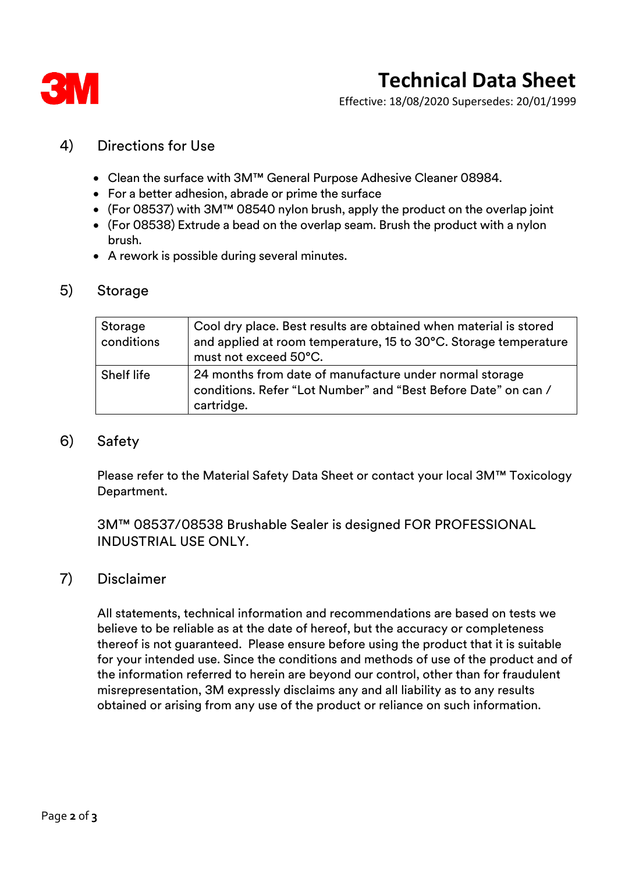

# **Technical Data Sheet**

Effective: 18/08/2020 Supersedes: 20/01/1999

### 4) Directions for Use

- Clean the surface with 3M™ General Purpose Adhesive Cleaner 08984.
- For a better adhesion, abrade or prime the surface
- (For 08537) with 3M™ 08540 nylon brush, apply the product on the overlap joint
- (For 08538) Extrude a bead on the overlap seam. Brush the product with a nylon brush.
- A rework is possible during several minutes.

#### 5) Storage

| Storage<br>conditions | Cool dry place. Best results are obtained when material is stored<br>and applied at room temperature, 15 to 30°C. Storage temperature<br>must not exceed 50°C. |  |
|-----------------------|----------------------------------------------------------------------------------------------------------------------------------------------------------------|--|
| <b>Shelf life</b>     | 24 months from date of manufacture under normal storage<br>conditions. Refer "Lot Number" and "Best Before Date" on can /<br>cartridge.                        |  |

#### 6) Safety

Please refer to the Material Safety Data Sheet or contact your local 3M™ Toxicology Department.

3M™ 08537/08538 Brushable Sealer is designed FOR PROFESSIONAL INDUSTRIAL USE ONLY.

#### 7) Disclaimer

All statements, technical information and recommendations are based on tests we believe to be reliable as at the date of hereof, but the accuracy or completeness thereof is not guaranteed. Please ensure before using the product that it is suitable for your intended use. Since the conditions and methods of use of the product and of the information referred to herein are beyond our control, other than for fraudulent misrepresentation, 3M expressly disclaims any and all liability as to any results obtained or arising from any use of the product or reliance on such information.